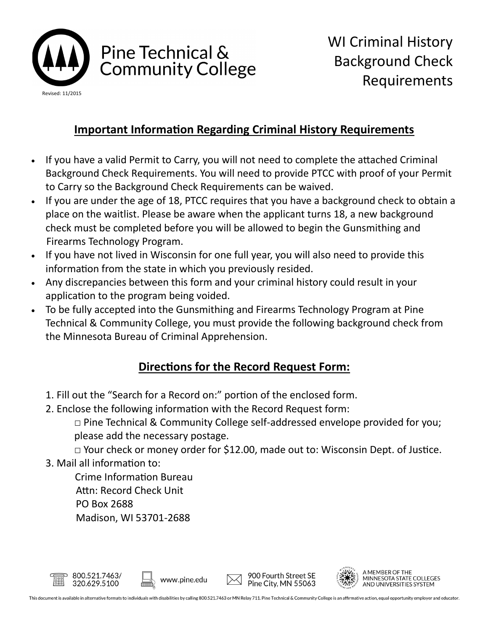

# Pine Technical & **Community College**

## **Important Information Regarding Criminal History Requirements**

- If you have a valid Permit to Carry, you will not need to complete the attached Criminal Background Check Requirements. You will need to provide PTCC with proof of your Permit to Carry so the Background Check Requirements can be waived.
- If you are under the age of 18, PTCC requires that you have a background check to obtain a place on the waitlist. Please be aware when the applicant turns 18, a new background check must be completed before you will be allowed to begin the Gunsmithing and Firearms Technology Program.
- If you have not lived in Wisconsin for one full year, you will also need to provide this information from the state in which you previously resided.
- Any discrepancies between this form and your criminal history could result in your application to the program being voided.
- To be fully accepted into the Gunsmithing and Firearms Technology Program at Pine Technical & Community College, you must provide the following background check from the Minnesota Bureau of Criminal Apprehension.

## **Directions for the Record Request Form:**

- 1. Fill out the "Search for a Record on:" portion of the enclosed form.
- 2. Enclose the following information with the Record Request form:

□ Pine Technical & Community College self-addressed envelope provided for you; please add the necessary postage.

□ Your check or money order for \$12.00, made out to: Wisconsin Dept. of Justice.

3. Mail all information to:

 Crime Information Bureau Attn: Record Check Unit PO Box 2688 Madison, WI 53701-2688







**MEMBER OF THE** MINNESOTA STATE COLLEGES AND UNIVERSITIES SYSTEM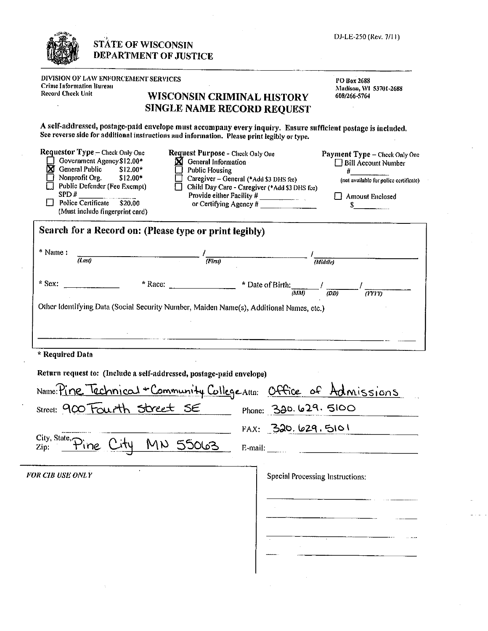|                                                                                                                                                                                                                                         | <b>STATE OF WISCONSIN</b><br><b>DEPARTMENT OF JUSTICE</b>            | DJ-LE-250 (Rev. 7/11)                                                                                                                                                                                                                                                                                                                                   |  |
|-----------------------------------------------------------------------------------------------------------------------------------------------------------------------------------------------------------------------------------------|----------------------------------------------------------------------|---------------------------------------------------------------------------------------------------------------------------------------------------------------------------------------------------------------------------------------------------------------------------------------------------------------------------------------------------------|--|
| DIVISION OF LAW ENFORCEMENT SERVICES<br><b>Crime Information Bureau</b><br>Record Check Unit                                                                                                                                            |                                                                      | PO Box 2688<br>Madison, WI 53701-2688<br>WISCONSIN CRIMINAL HISTORY<br>608/266-5764<br>SINGLE NAME RECORD REQUEST                                                                                                                                                                                                                                       |  |
|                                                                                                                                                                                                                                         |                                                                      | A self-addressed, postage-paid envelope must accompany every inquiry. Ensure sufficient postage is included,<br>See reverse side for additional instructions and information. Please print legibly or type.                                                                                                                                             |  |
| Requestor Type - Check Only One<br>Government Agency \$12.00*<br>$\boxtimes$ General Public $$12.00*$<br>Nonprofit Org.<br>Public Defender (Fee Exempt)<br>SPD#<br>$\Box$ Police Certificate \$20.00<br>(Must include fingerprint card) | ⊠<br>\$12.00*                                                        | <b>Request Purpose - Check Only One</b><br>Payment Type - Check Only One<br>General Information<br><b>Bill Account Number</b><br><b>Public Housing</b><br>#<br>Caregiver - General (*Add \$3 DHS fee)<br>(not available for police certificate)<br>Child Day Care - Caregiver (*Add \$3 DHS fce)<br>Provide either Facility #<br>$\Box$ Amount Enclosed |  |
|                                                                                                                                                                                                                                         | Search for a Record on: (Please type or print legibly)               |                                                                                                                                                                                                                                                                                                                                                         |  |
| * Name:<br>$\overline{(Las)}$                                                                                                                                                                                                           |                                                                      | $\overline{(First)}$<br>(Middle)                                                                                                                                                                                                                                                                                                                        |  |
|                                                                                                                                                                                                                                         |                                                                      | * Race: $\frac{1}{2}$ $\frac{1}{2}$ $\frac{1}{2}$ $\frac{1}{2}$ $\frac{1}{2}$ $\frac{1}{2}$ $\frac{1}{2}$ $\frac{1}{2}$ $\frac{1}{2}$ $\frac{1}{2}$ $\frac{1}{2}$ $\frac{1}{2}$ $\frac{1}{2}$ $\frac{1}{2}$ $\frac{1}{2}$ $\frac{1}{2}$ $\frac{1}{2}$ $\frac{1}{2}$ $\frac{1}{2}$ $\frac{1}{2}$ $\frac{1}{2}$ $\frac$                                   |  |
|                                                                                                                                                                                                                                         |                                                                      | (MM)<br>(DD)<br>(YYY)<br>Other Identifying Data (Social Security Number, Maiden Name(s), Additional Names, etc.)<br><u> 1986 - Andrea Station, amerikan bestean ing disebut di parti di parti di parti di parti di parti di parti di p</u>                                                                                                              |  |
|                                                                                                                                                                                                                                         |                                                                      |                                                                                                                                                                                                                                                                                                                                                         |  |
|                                                                                                                                                                                                                                         | Return request to: (Include a self-addressed, postage-paid envelope) |                                                                                                                                                                                                                                                                                                                                                         |  |
|                                                                                                                                                                                                                                         |                                                                      | Name: Pine Technical + Community College Attn: Office of Admissions                                                                                                                                                                                                                                                                                     |  |
|                                                                                                                                                                                                                                         | Street: 900 Fourth Street SE                                         | Phone: 320. 629. 5100                                                                                                                                                                                                                                                                                                                                   |  |
|                                                                                                                                                                                                                                         | MN 55063                                                             | FAX: 320, 629.5101                                                                                                                                                                                                                                                                                                                                      |  |
|                                                                                                                                                                                                                                         |                                                                      | <b>Special Processing Instructions:</b>                                                                                                                                                                                                                                                                                                                 |  |
| * Sex:<br>* Required Data<br>City, State, Pine Cit<br><b>FOR CIB USE ONLY</b>                                                                                                                                                           |                                                                      |                                                                                                                                                                                                                                                                                                                                                         |  |